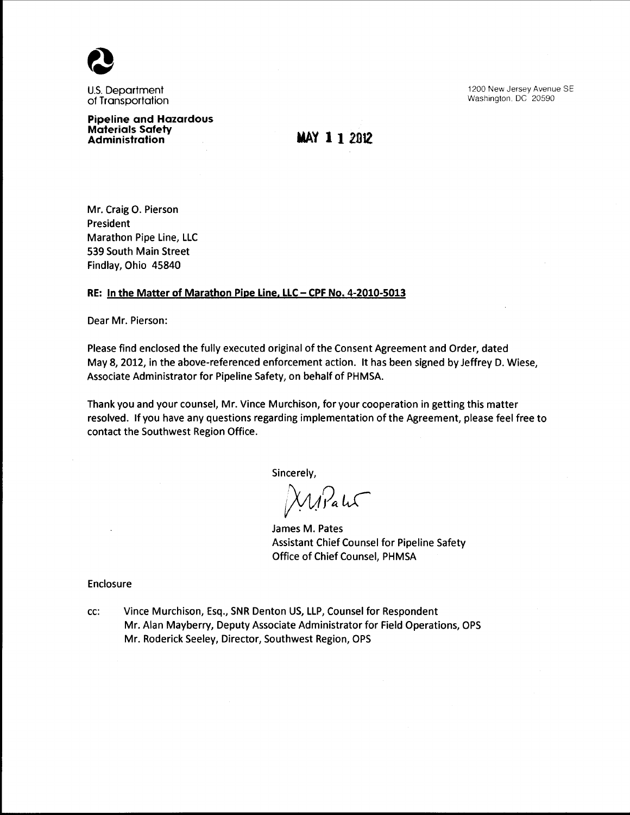

U.S. Department of Transportation 1200 New Jersey Avenue SE Washington. DC 20590

**Pipeline and Hazardous Materials Safety Administration** 

**MAY 112012** 

Mr. Craig 0. Pierson President Marathon Pipe Line, LLC 539 South Main Street Findlay, Ohio 45840

#### **RE: In the Matter of Marathon Pipe Line, LLC- CPF No. 4-2010-5013**

Dear Mr. Pierson:

Please find enclosed the fully executed original of the Consent Agreement and Order, dated May 8, 2012, in the above-referenced enforcement action. It has been signed by Jeffrey D. Wiese, Associate Administrator for Pipeline Safety, on behalf of PHMSA.

Thank you and your counsel, Mr. Vince Murchison, for your cooperation in getting this matter resolved. If you have any questions regarding implementation of the Agreement, please feel free to contact the Southwest Region Office.

Sincerely,

Wirald

James M. Pates Assistant Chief Counsel for Pipeline Safety Office of Chief Counsel, PHMSA

Enclosure

cc: Vince Murchison, Esq., SNR Denton US, LLP, Counsel for Respondent Mr. Alan Mayberry, Deputy Associate Administrator for Field Operations, OPS Mr. Roderick Seeley, Director, Southwest Region, OPS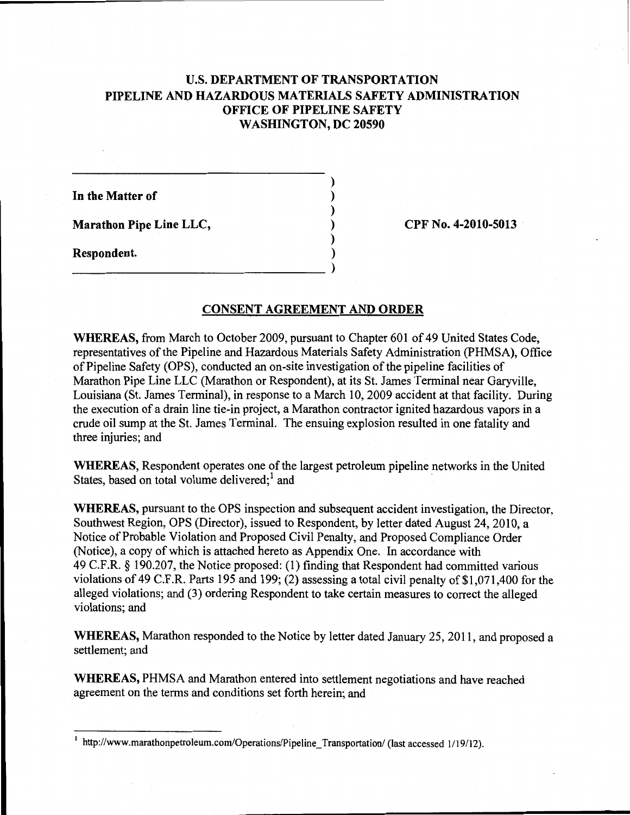# U.S. **DEPARTMENT OF TRANSPORTATION PIPELINE AND HAZARDOUS MATERIALS SAFETY ADMINISTRATION OFFICE OF PIPELINE SAFETY WASHINGTON, DC 20590**

) ) ) ) )

**In the Matter of** 

**Marathon Pipe Line LLC,** 

**Respondent.**  ) \_\_\_\_\_\_\_\_\_\_\_\_\_\_\_\_\_\_\_\_\_\_\_\_\_\_\_\_\_ )

**CPF** No. **4-2010-5013** 

# **CONSENT AGREEMENT AND ORDER**

**WHEREAS,** from March to October 2009, pursuant to Chapter 601 of 49 United States Code, representatives of the Pipeline and Hazardous Materials Safety Administration (PHMSA), Office ofPipeline Safety (OPS), conducted an on-site investigation of the pipeline facilities of Marathon Pipe Line LLC (Marathon or Respondent), at its St. James Terminal near Garyville, Louisiana (St. James Terminal), in response to a March 10, 2009 accident at that facility. During the execution of a drain line tie-in project, a Marathon contractor ignited hazardous vapors in a crude oil sump at the St. James Terminal. The ensuing explosion resulted in one fatality and three injuries; and

**WHEREAS,** Respondent operates one of the largest petroleum pipeline networks in the United States, based on total volume delivered; $<sup>1</sup>$  and</sup>

**WHEREAS,** pursuant to the OPS inspection and subsequent accident investigation, the Director, Southwest Region, OPS (Director), issued to Respondent, by letter dated August 24, 2010, a Notice of Probable Violation and Proposed Civil Penalty, and Proposed Compliance Order (Notice), a copy of which is attached hereto as Appendix One. In accordance with 49 C.F.R. § 190.207, the Notice proposed: (1) finding that Respondent had committed various violations of 49 C.F .R. Parts 195 and 199; (2) assessing a total civil penalty of \$1,071,400 for the alleged violations; and (3) ordering Respondent to take certain measures to correct the alleged violations; and

**WHEREAS,** Marathon responded to the Notice by letter dated January 25, 2011, and proposed a settlement; and

**WHEREAS,** PHMSA and Marathon entered into settlement negotiations and have reached agreement on the terms and conditions set forth herein; and

<sup>1</sup> http://www.marathonpetroleum.com/Operations/Pipeline\_Transportation/ (last accessed 1/19/12).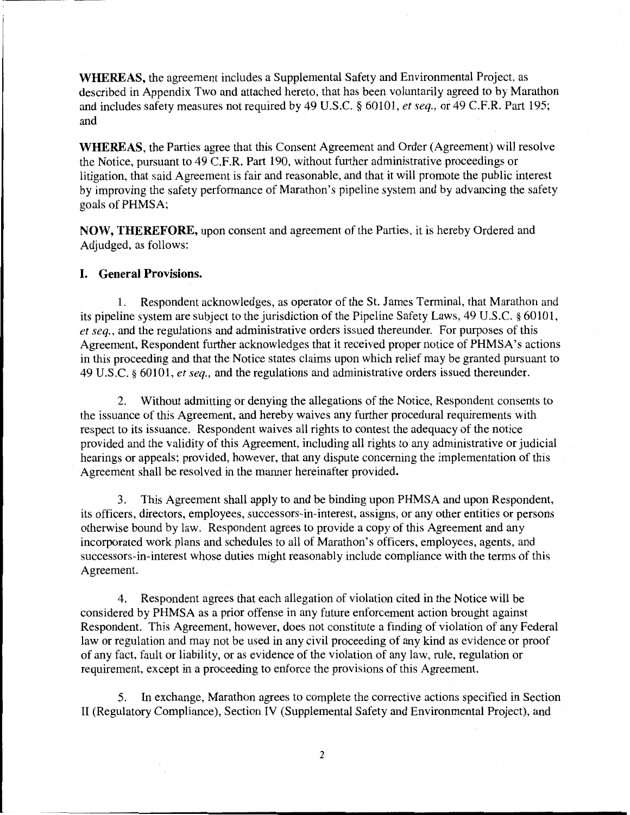**WHEREAS,** the agreement includes a Supplemental Safety and Environmental Project, as described in Appendix Two and attached hereto, that has been voluntarily agreed to by Marathon and includes safety measures not required by 49 U.S.C. § 60101, *et seq.,* or 49 C.F.R. Part 195; and

**WHEREAS,** the Parties agree that this Consent Agreement and Order (Agreement) will resolve the Notice, pursuant to 49 C.F.R. Part 190, without further administrative proceedings or litigation, that said Agreement is fair and reasonable, and that it will promote the public interest by improving the safety performance of Marathon's pipeline system and by advancing the safety goals of PHMSA;

**NOW, THEREFORE,** upon consent and agreement of the Parties, it is hereby Ordered and Adjudged, as follows:

# **I. General Provisions.**

1. Respondent acknowledges, as operator of the St. James Terminal, that Marathon and its pipeline system are subject to the jurisdiction of the Pipeline Safety Laws, 49 U.S.C. § 60101, *et seq.,* and the regulations and administrative orders issued thereunder. For purposes of this Agreement, Respondent further acknowledges that it received proper notice of PHMSA's actions in this proceeding and that the Notice states claims upon which relief may be granted pursuant to 49 U.S.C. § 60101, *et seq.,* and the regulations and administrative orders issued thereunder.

2. Without admitting or denying the allegations of the Notice, Respondent consents to the issuance of this Agreement, and hereby waives any further procedural requirements with respect to its issuance. Respondent waives all rights to contest the adequacy of the notice provided and the validity of this Agreement, including all rights to any administrative or judicial hearings or appeals; provided, however, that any dispute concerning the implementation of this Agreement shall be resolved in the manner hereinafter provided.

3. This Agreement shall apply to and be binding upon PHMSA and upon Respondent, its officers, directors, employees, successors-in-interest, assigns, or any other entities or persons otherwise bound by law. Respondent agrees to provide a copy of this Agreement and any incorporated work plans and schedules to all of Marathon's officers, employees, agents, and successors-in-interest whose duties might reasonably include compliance with the terms of this Agreement.

4. Respondent agrees that each allegation of violation cited in the Notice will be considered by PHMSA as a prior offense in any future enforcement action brought against Respondent. This Agreement, however, does not constitute a finding of violation of any Federal law or regulation and may not be used in any civil proceeding of any kind as evidence or proof of any fact, fault or liability, or as evidence of the violation of any law, rule, regulation or requirement, except in a proceeding to enforce the provisions of this Agreement.

5. In exchange, Marathon agrees to complete the corrective actions specified in Section II (Regulatory Compliance), Section IV (Supplemental Safety and Environmental Project), and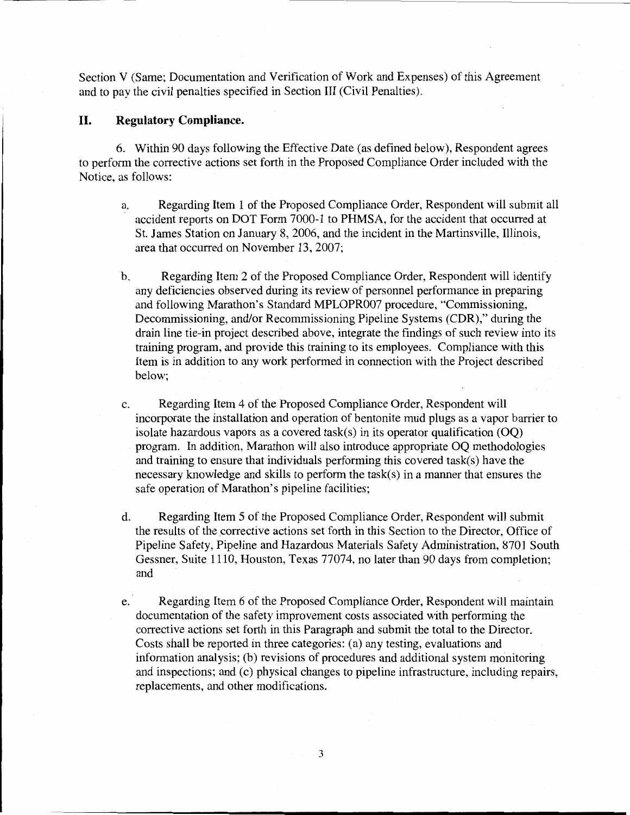Section V (Same; Documentation and Verification of Work and Expenses) of this Agreement and to pay the civil penalties specified in Section III (Civil Penalties).

## **II. Regulatory Compliance.**

6. Within 90 days following the Effective Date (as defined below), Respondent agrees to perform the corrective actions set forth in the Proposed Compliance Order included with the Notice, as follows:

- a. Regarding Item 1 of the Proposed Compliance Order, Respondent will submit all accident reports on DOT Form 7000-1 to PHMSA, for the accident that occurred at St. James Station on January 8, 2006, and the incident in the Martinsville, Illinois, area that occurred on November 13, 2007;
- b. Regarding Item 2 of the Proposed Compliance Order, Respondent will identify any deficiencies observed during its review of personnel performance in preparing and following Marathon's Standard MPLOPR007 procedure, "Commissioning, Decommissioning, and/or Recommissioning Pipeline Systems (CDR)," during the drain line tie-in project described above, integrate the findings of such review into its training program, and provide this training to its employees. Compliance with this Item is in addition to any work performed in connection with the Project described below;
- c. Regarding Item 4 of the Proposed Compliance Order, Respondent will incorporate the installation and operation of bentonite mud plugs as a vapor barrier to isolate hazardous vapors as a covered task(s) in its operator qualification  $(OQ)$ program. In addition, Marathon will also introduce appropriate OQ methodologies and training to ensure that individuals performing this covered task(s) have the necessary knowledge and skills to perform the task(s) in a manner that ensures the safe operation of Marathon's pipeline facilities;
- d. Regarding Item 5 of the Proposed Compliance Order, Respondent will submit the results of the corrective actions set forth in this Section to the Director, Office of Pipeline Safety, Pipeline and Hazardous Materials Safety Administration, 8701 South Gessner, Suite 1110, Houston, Texas 77074, no later than 90 days from completion; and
- e. Regarding Item 6 of the Proposed Compliance Order, Respondent will maintain documentation of the safety improvement costs associated with performing the corrective actions set forth in this Paragraph and submit the total to the Director. Costs shall be reported in three categories: (a) any testing, evaluations and information analysis; (b) revisions of procedures and additional system monitoring and inspections; and (c) physical changes to pipeline infrastructure, including repairs, replacements, and other modifications.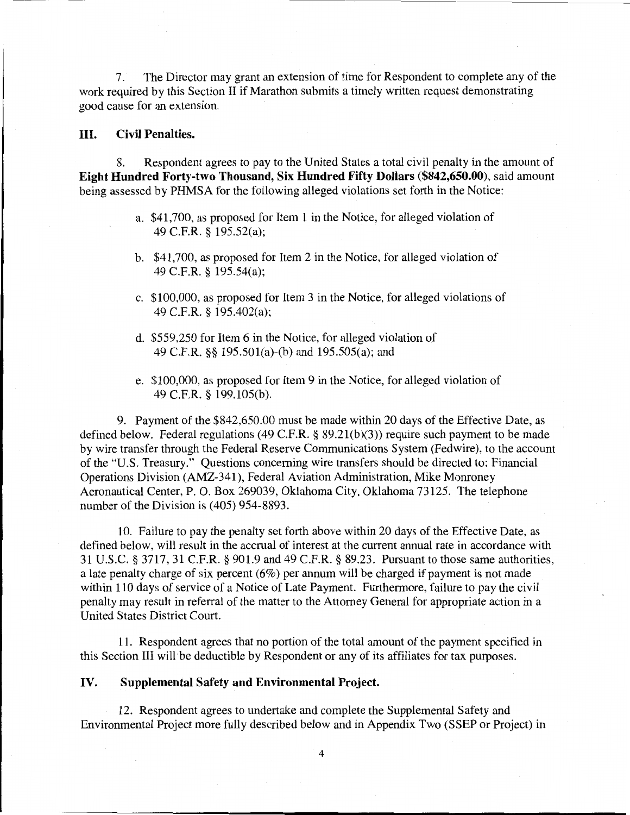7. The Director may grant an extension of time for Respondent to complete any of the work required by this Section II if Marathon submits a timely written request demonstrating good cause for an extension.

## III. Civil Penalties.

8. Respondent agrees to pay to the United States a total civil penalty in the amount of Eight Hundred Forty-two Thousand, Six Hundred Fifty Dollars (\$842,650.00), said amount being assessed by PHMSA for the following alleged violations set forth in the Notice:

- a. \$41,700, as proposed for Item 1 in the Notice, for alleged violation of 49 C.F.R. § 195.52(a);
- b. \$41,700, as proposed for Item 2 in the Notice, for alleged violation of 49 C.F.R. § 195.54(a);
- c. \$100,000, as proposed for Item 3 in the Notice, for alleged violations of 49 C.F.R. § 195.402(a);
- d. \$559,250 for Item 6 in the Notice, for alleged violation of 49 C.F.R. §§ 195.501(a)-(b) and 195.505(a); and
- e. \$100,000, as proposed for Item 9 in the Notice, for alleged violation of 49 C.F.R. § 199.105(b).

9. Payment of the \$842,650.00 must be made within 20 days of the Effective Date, as defined below. Federal regulations (49 C.F.R. § 89.21(b)(3)) require such payment to be made by wire transfer through the Federal Reserve Communications System (Fedwire), to the account of the "U.S. Treasury." Questions concerning wire transfers should be directed to: Financial Operations Division (AMZ-341), Federal Aviation Administration, Mike Monroney Aeronautical Center, P. 0. Box 269039, Oklahoma City, Oklahoma 73125. The telephone number of the Division is (405) 954-8893.

10. Failure to pay the penalty set forth above within 20 days of the Effective Date, as defined below, will result in the accrual of interest at the current annual rate in accordance with 31 U.S.C. § 3717,31 C.F.R. § 901.9 and 49 C.F.R. § 89.23. Pursuant to those same authorities, a late penalty charge of six percent (6%) per annum will be charged if payment is not made within 110 days of service of a Notice of Late Payment. Furthermore, failure to pay the civil penalty may result in referral of the matter to the Attorney General for appropriate action in a United States District Court.

11. Respondent agrees that no portion of the total amount of the payment specified in this Section III will be deductible by Respondent or any of its affiliates for tax purposes.

## IV. Supplemental Safety and Environmental Project.

12. Respondent agrees to undertake and complete the Supplemental Safety and Environmental Project more fully described below and in Appendix Two (SSEP or Project) in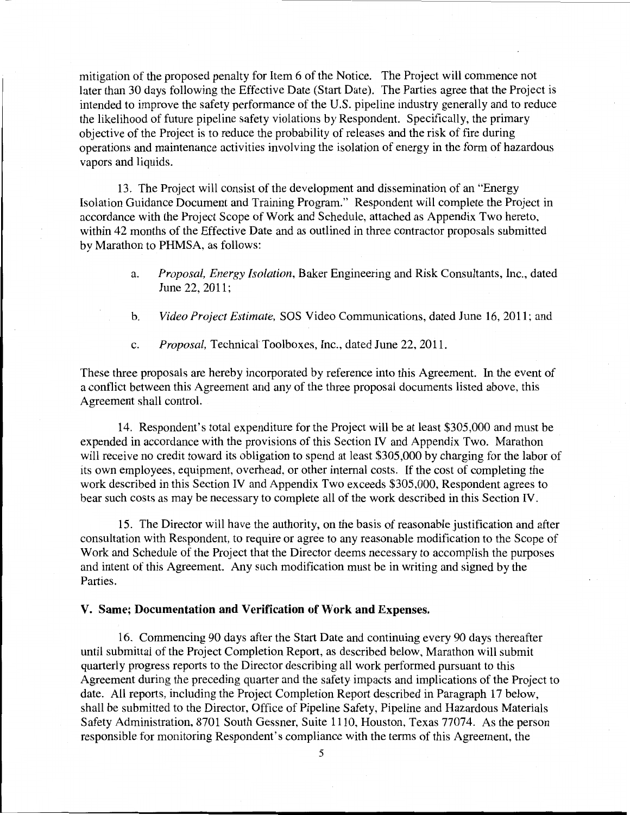mitigation of the proposed penalty for Item 6 of the Notice. The Project will commence not later than 30 days following the Effective Date (Start Date). The Parties agree that the Project is intended to improve the safety performance of the U.S. pipeline industry generally and to reduce the likelihood of future pipeline safety violations by Respondent. Specifically, the primary objective of the Project is to reduce the probability of releases and the risk of fire during operations and maintenance activities involving the isolation of energy in the form of hazardous vapors and liquids.

13. The Project will consist of the development and dissemination of an "Energy Isolation Guidance Document and Training Program." Respondent will complete the Project in accordance with the Project Scope of Work and Schedule, attached as Appendix Two hereto, within 42 months of the Effective Date and as outlined in three contractor proposals submitted by Marathon to PHMSA, as follows:

- a. *Proposal, Energy Isolation,* Baker Engineering and Risk Consultants, Inc., dated June 22, 2011;
- b. *Video Project Estimate,* SOS Video Communications, dated June 16, 2011; and
- c. *Proposal,* Technical Toolboxes, Inc., dated June 22, 2011.

These three proposals are hereby incorporated by reference into this Agreement. In the event of a conflict between this Agreement and any of the three proposal documents listed above, this Agreement shall control.

14. Respondent's total expenditure for the Project will be at least \$305,000 and must be expended in accordance with the provisions of this Section IV and Appendix Two. Marathon will receive no credit toward its obligation to spend at least \$305,000 by charging for the labor of its own employees, equipment, overhead, or other internal costs. If the cost of completing the work described in this Section IV and Appendix Two exceeds \$305,000, Respondent agrees to bear such costs as may be necessary to complete all of the work described in this Section IV.

15. The Director will have the authority, on the basis of reasonable justification and after consultation with Respondent, to require or agree to any reasonable modification to the Scope of Work and Schedule of the Project that the Director deems necessary to accomplish the purposes and intent of this Agreement. Any such modification must be in writing and signed by the Parties.

### **V. Same; Documentation and Verification of Work and Expenses.**

16. Commencing 90 days after the Start Date and continuing every 90 days thereafter until submittal of the Project Completion Report, as described below, Marathon will submit quarterly progress reports to the Director describing all work performed pursuant to this Agreement during the preceding quarter and the safety impacts and implications of the Project to date. All reports, including the Project Completion Report described in Paragraph 17 below, shall be submitted to the Director, Office of Pipeline Safety, Pipeline and Hazardous Materials Safety Administration, 8701 South Gessner, Suite 1110, Houston, Texas 77074. As the person responsible for monitoring Respondent's compliance with the terms of this Agreement, the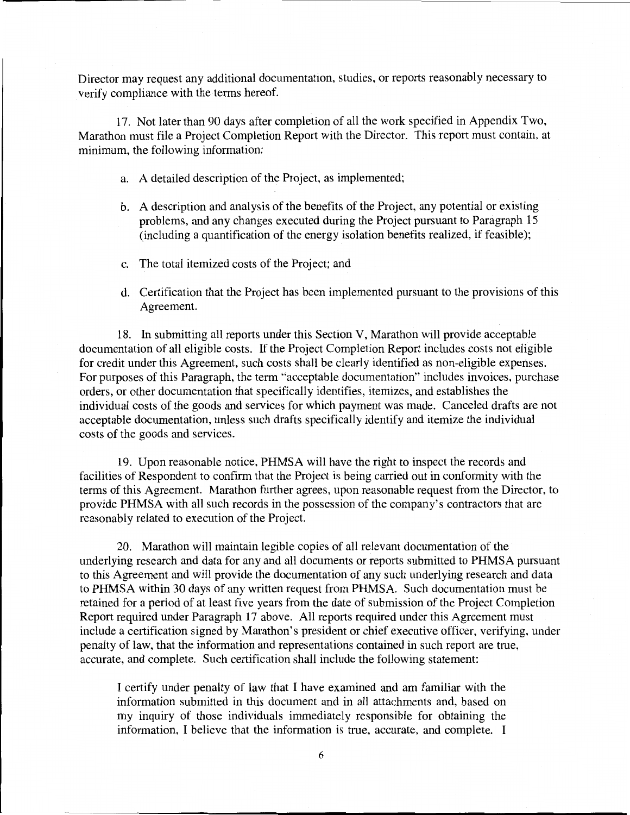Director may request any additional documentation, studies, or reports reasonably necessary to verify compliance with the terms hereof.

17. Not later than 90 days after completion of all the work specified in Appendix Two, Marathon must file a Project Completion Report with the Director. This report must contain, at minimum, the following information:

- a. A detailed description of the Project, as implemented;
- b. A description and analysis of the benefits of the Project, any potential or existing problems, and any changes executed during the Project pursuant to Paragraph 15 (including a quantification of the energy isolation benefits realized, if feasible);
- c. The total itemized costs of the Project; and
- d. Certification that the Project has been implemented pursuant to the provisions of this Agreement.

18. In submitting all reports under this Section V, Marathon will provide acceptable documentation of all eligible costs. If the Project Completion Report includes costs not eligible for credit under this Agreement, such costs shall be clearly identified as non-eligible expenses. For purposes of this Paragraph, the term "acceptable documentation" includes invoices, purchase orders, or other documentation that specifically identifies, itemizes, and establishes the individual costs of the goods and services for which payment was made. Canceled drafts are not acceptable documentation, unless such drafts specifically identify and itemize the individual costs of the goods and services.

19. Upon reasonable notice, PHMSA will have the right to inspect the records and facilities of Respondent to confirm that the Project is being carried out in conformity with the terms of this Agreement. Marathon further agrees, upon reasonable request from the Director, to provide PHMSA with all such records in the possession of the company's contractors that are reasonably related to execution of the Project.

20. Marathon will maintain legible copies of all relevant documentation of the underlying research and data for any and all documents or reports submitted to PHMSA pursuant to this Agreement and will provide the documentation of any such underlying research and data to PHMSA within 30 days of any written request from PHMSA. Such documentation must be retained for a period of at least five years from the date of submission of the Project Completion Report required under Paragraph 17 above. All reports required under this Agreement must include a certification signed by Marathon's president or chief executive officer, verifying, under penalty of law, that the information and representations contained in such report are true, accurate, and complete. Such certification shall include the following statement:

I certify under penalty of law that I have examined and am familiar with the information submitted in this document and in all attachments and, based on my inquiry of those individuals immediately responsible for obtaining the information, I believe that the information is true, accurate, and complete. I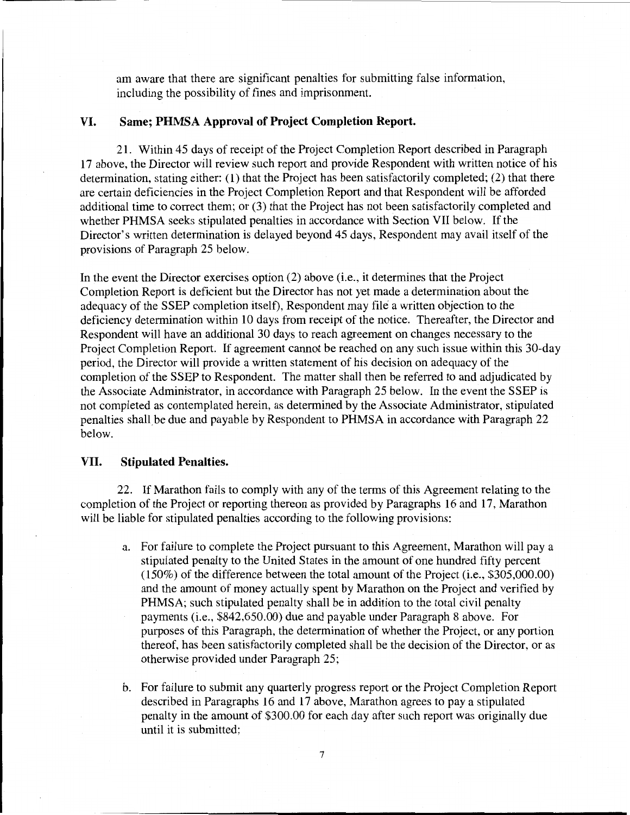am aware that there are significant penalties for submitting false information, including the possibility of fines and imprisonment.

# **VI. Same; PHMSA Approval of Project Completion Report.**

21. Within 45 days of receipt of the Project Completion Report described in Paragraph 17 above, the Director will review such report and provide Respondent with written notice of his determination, stating either: (1) that the Project has been satisfactorily completed; (2) that there are certain deficiencies in the Project Completion Report and that Respondent will be afforded additional time to correct them; or (3) that the Project has not been satisfactorily completed and whether PHMSA seeks stipulated penalties in accordance with Section VII below. If the Director's written determination is delayed beyond 45 days, Respondent may avail itself of the provisions of Paragraph 25 below.

In the event the Director exercises option (2) above (i.e., it determines that the Project Completion Report is deficient but the Director has not yet made a determination about the adequacy of the SSEP completion itself), Respondent may file a written objection to the deficiency determination within 10 days from receipt of the notice. Thereafter, the Director and Respondent will have an additional 30 days to reach agreement on changes necessary to the Project Completion Report. If agreement cannot be reached on any such issue within this 30-day period, the Director will provide a written statement of his decision on adequacy of the completion of the SSEP to Respondent. The matter shall then be referred to and adjudicated by the Associate Administrator, in accordance with Paragraph 25 below. In the event the SSEP is not completed as contemplated herein, as determined by the Associate Administrator, stipulated penalties shall be due and payable by Respondent to PHMSA in accordance with Paragraph 22 below.

## VII. **Stipulated Penalties.**

22. If Marathon fails to comply with any of the terms of this Agreement relating to the completion of the Project or reporting thereon as provided by Paragraphs 16 and 17, Marathon will be liable for stipulated penalties according to the following provisions:

- a. For failure to complete the Project pursuant to this Agreement, Marathon will pay a stipulated penalty to the United States in the amount of one hundred fifty percent (150%) of the difference between the total amount of the Project (i.e., \$305,000.00) and the amount of money actually spent by Marathon on the Project and verified by PHMSA; such stipulated penalty shall be in addition to the total civil penalty payments (i.e., \$842,650.00) due and payable under Paragraph 8 above. For purposes of this Paragraph, the determination of whether the Project, or any portion thereof, has been satisfactorily completed shall be the decision of the Director, or as otherwise provided under Paragraph 25;
- b. For failure to submit any quarterly progress report or the Project Completion Report described in Paragraphs 16 and 17 above, Marathon agrees to pay a stipulated penalty in the amount of \$300.00 for each day after such report was originally due until it is submitted;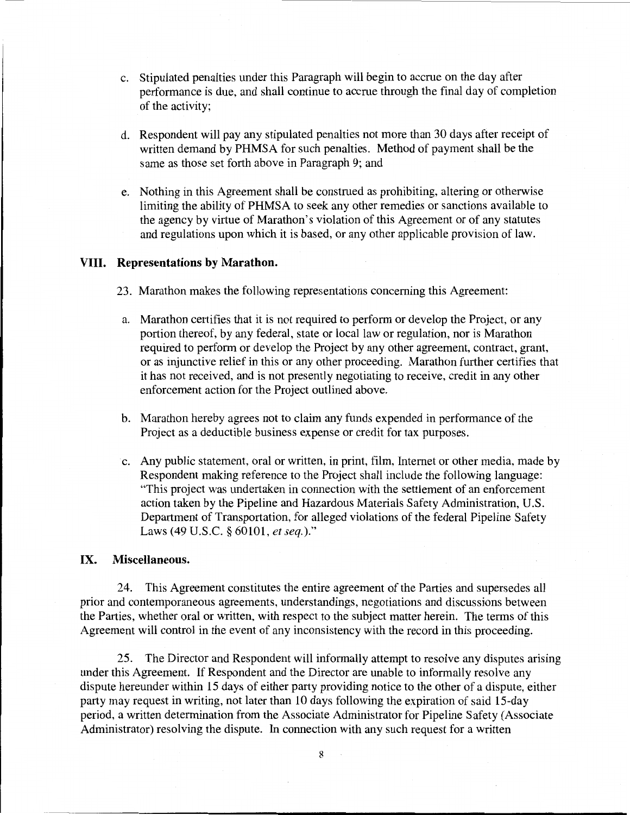- c. Stipulated penalties under this Paragraph will begin to accrue on the day after performance is due, and shall continue to accrue through the final day of completion of the activity;
- d. Respondent will pay any stipulated penalties not more than 30 days after receipt of written demand by PHMSA for such penalties. Method of payment shall be the same as those set forth above in Paragraph 9; and
- e. Nothing in this Agreement shall be construed as prohibiting, altering or otherwise limiting the ability of PHMSA to seek any other remedies or sanctions available to the agency by virtue of Marathon's violation of this Agreement or of any statutes and regulations upon which it is based, or any other applicable provision of law.

## **VIII. Representations by Marathon.**

- 23. Marathon makes the following representations concerning this Agreement:
- a. Marathon certifies that it is not required to perform or develop the Project, or any portion thereof, by any federal, state or local law or regulation, nor is Marathon required to perform or develop the Project by any other agreement, contract, grant, or as injunctive relief in this or any other proceeding. Marathon further certifies that it has not received, and is not presently negotiating to receive, credit in any other enforcement action for the Project outlined above.
- b. Marathon hereby agrees not to claim any funds expended in performance of the Project as a deductible business expense or credit for tax purposes.
- c. Any public statement, oral or written, in print, film, Internet or other media, made by Respondent making reference to the Project shall include the following language: "This project was undertaken in connection with the settlement of an enforcement action taken by the Pipeline and Hazardous Materials Safety Administration, U.S. Department of Transportation, for alleged violations of the federal Pipeline Safety Laws (49 U.S.C. § 60101, *et seq.)."*

## IX. **Miscellaneous.**

24. This Agreement constitutes the entire agreement of the Parties and supersedes all prior and contemporaneous agreements, understandings, negotiations and discussions between the Parties, whether oral or written, with respect to the subject matter herein. The terms of this Agreement will control in the event of any inconsistency with the record in this proceeding.

25. The Director and Respondent will informally attempt to resolve any disputes arising under this Agreement. If Respondent and the Director are unable to informally resolve any dispute hereunder within 15 days of either party providing notice to the other of a dispute, either party may request in writing, not later than 10 days following the expiration of said 15-day period, a written determination from the Associate Administrator for Pipeline Safety (Associate Administrator) resolving the dispute. In connection with any such request for a written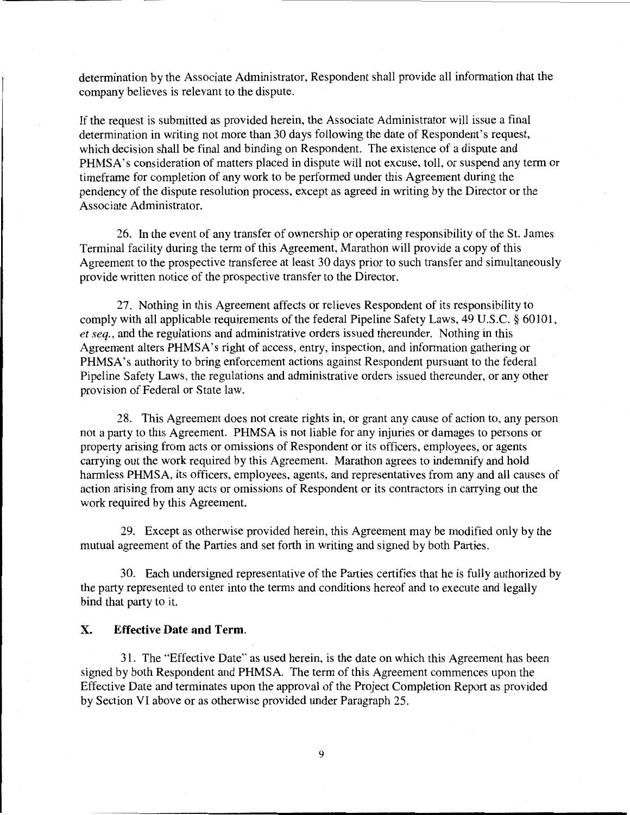determination by the Associate Administrator, Respondent shall provide all information that the company believes is relevant to the dispute.

If the request is submitted as provided herein, the Associate Administrator will issue a final determination in writing not more than 30 days following the date of Respondent's request, which decision shall be final and binding on Respondent. The existence of a dispute and PHMSA's consideration of matters placed in dispute will not excuse, toll, or suspend any term or timeframe for completion of any work to be performed under this Agreement during the pendency of the dispute resolution process, except as agreed in writing by the Director or the Associate Administrator.

26. In the event of any transfer of ownership or operating responsibility of the St. James Terminal facility during the term of this Agreement, Marathon will provide a copy of this Agreement to the prospective transferee at least 30 days prior to such transfer and simultaneously provide written notice of the prospective transfer to the Director.

27. Nothing in this Agreement affects or relieves Respondent of its responsibility to comply with all applicable requirements of the federal Pipeline Safety Laws, 49 U.S.C. § 60101, *et seq.,* and the regulations and administrative orders issued thereunder. Nothing in this Agreement alters PHMSA's right of access, entry, inspection, and information gathering or PHMSA's authority to bring enforcement actions against Respondent pursuant to the federal Pipeline Safety Laws, the regulations and administrative orders issued thereunder, or any other provision of Federal or State law.

28. This Agreement does not create rights in, or grant any cause of action to, any person not a party to this Agreement. PHMSA is not liable for any injuries or damages to persons or property arising from acts or omissions of Respondent or its officers, employees, or agents carrying out the work required by this Agreement. Marathon agrees to indemnify and hold harmless PHMSA, its officers, employees, agents, and representatives from any and all causes of action arising from any acts or omissions of Respondent or its contractors in carrying out the work required by this Agreement.

29. Except as otherwise provided herein, this Agreement may be modified only by the mutual agreement of the Parties and set forth in writing and signed by both Parties.

30. Each undersigned representative of the Parties certifies that he is fully authorized by the party represented to enter into the terms and conditions hereof and to execute and legally bind that party to it.

# X. **Effective Date and Term.**

31. The "Effective Date" as used herein, is the date on which this Agreement has been signed by both Respondent and PHMSA. The term of this Agreement commences upon the Effective Date and terminates upon the approval of the Project Completion Report as provided by Section VI above or as otherwise provided under Paragraph 25.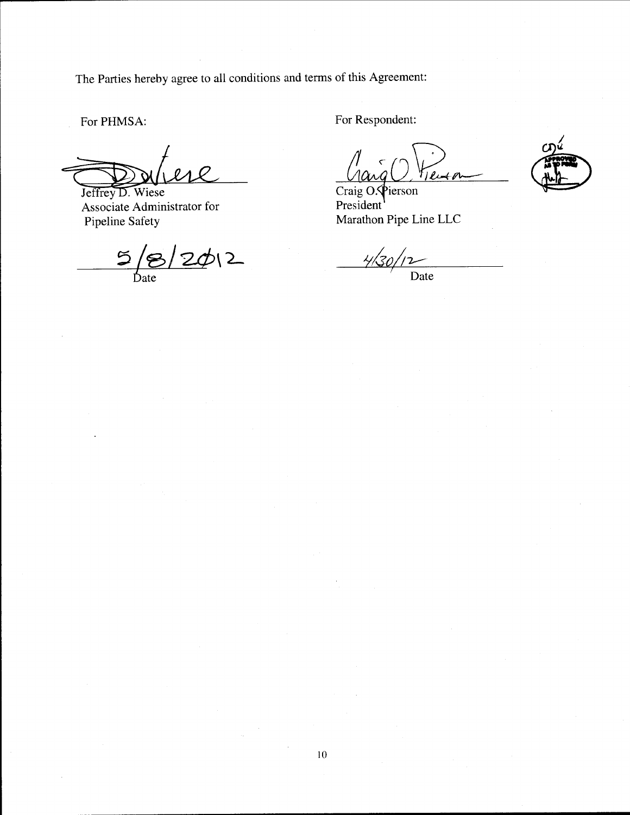The Parties hereby agree to all conditions and terms of this Agreement:

For PHMSA:

Jeffrey D. Wiese<br>Associate Administrator for Pipeline Safety

 $5/8/20/2$ 

For Respondent:

 $l+1$ 

Craig O. Pierson President<sup>'</sup> Marathon Pipe Line LLC

 $\frac{4}{30/12}$ Date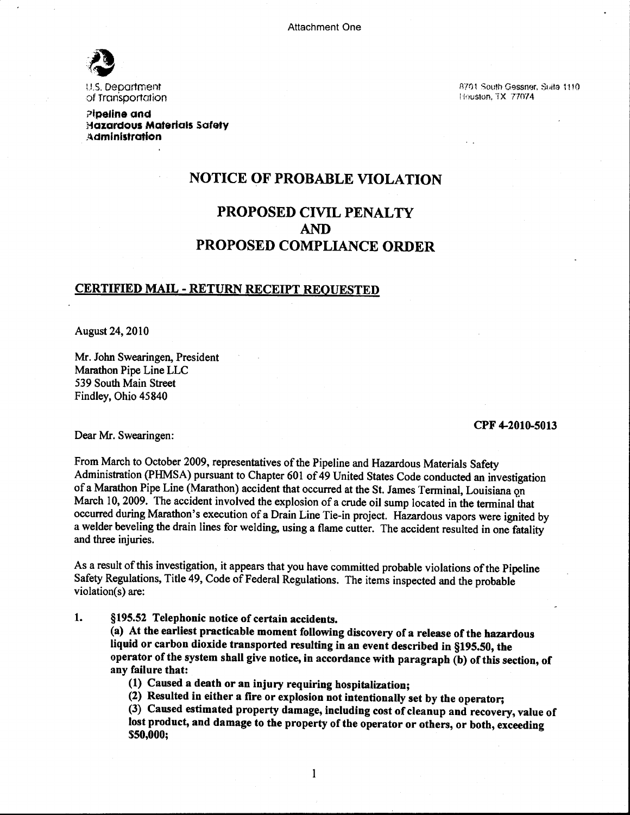Attachment One



u.s. oeoartment of Transportation

?lpeline and Hazardous Materials Safety Administration

R701 South Gessnor, Suite 1110 Houston. TX 77074

# NOTICE OF PROBABLE VIOLATION

# PROPOSED CIVIL PENALTY AND PROPOSED COMPLIANCE ORDER

# CERTIFIED MAIL- RETURN RECEIPT REQUESTED

August 24, 2010

Mr. John Swearingen, President Marathon Pipe Line LLC 539 South Main Street Findley, Ohio 45840

#### CPF 4-2010-5013

Dear Mr. Swearingen:

From March to October 2009, representatives of the Pipeline and Hazardous Materials Safety Administration (PHMSA) pursuant to Chapter 601 of 49 United States Code conducted an investigation of a Marathon Pipe Line (Marathon) accident that occurred at the St. James Terminal, Louisiana on March 10,2009. The accident involved the explosion of a crude oil sump located in the terminal that occurred during Marathon's execution of a Drain Line Tie-in project. Hazardous vapors were ignited by a welder beveling the drain lines for welding, using a flame cutter. The accident resulted in one fatality and three injuries.

As a result of this investigation, it appears that you have committed probable violations of the Pipeline Safety Regulations, Title 49, Code of Federal Regulations. The items inspected and the probable violation(s) are:

1. §195.52 Telephonic notice of certain accidents.

(a) At the earliest practicable moment following discovery of a release of the hazardous liquid or carbon dioxide transported resulting in an event described in §195.50, the operator of the system shall give notice, in accordance with paragraph (b) of this section, of any failure that:

(1) Caused a death or an injury requiring hospitalization;

(2) Resulted in either a fire or explosion not intentionally set by the operator;

(3) Caused estimated property damage, including cost of cleanup and recovery, value of lost product, and damage to the property of the operator or others, or both, exceeding \$50,000;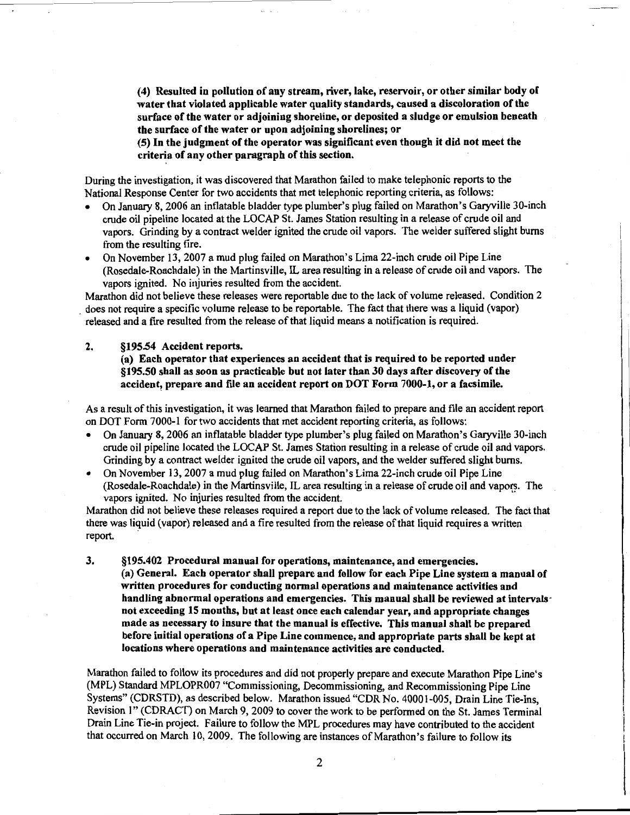( 4) Resulted in pollution of any stream, river, lake, reservoir, or other similar body of water that violated applicable water quality standards, caused a discoloration of the surface of the water or adjoining shoreline, or deposited a sludge or emulsion beneath the surface of the water or upon adjoining shorelines; or

(5) In the judgment of the operator was significant even though it did not meet the criteria of any other paragraph of this section.

During the investigation, it was discovered that Marathon failed to make telephonic reports to the National Response Center for two accidents that met telephonic reporting criteria, as follows:

- On January 8, 2006 an inflatable bladder type plumber's plug failed on Marathon's Garyville 30-inch crude oil pipeline located at the LOCAP St. James Station resulting in a release of crude oil and vapors. Grinding by a contract welder ignited the crude oil vapors. The welder suffered slight bums from the resulting fire.
- On November 13, 2007 a mud plug failed on Marathon's Lima 22-inch crude oil Pipe Line (Rosedale-Roachdale) in the Martinsville, IL area resulting in a release of crude oil and vapors. The vapors ignited. No injuries resulted from the accident.

Marathon did not believe these releases were reportable due to the lack of volume released. Condition 2 . does not require a specific volume release to be reportable. The fact that there was a liquid (vapor) released and a fire resulted from the release of that liquid means a notification is required.

### 2. §195.54 Accident reports.

### (a) Each operator that experiences an accident that is required to be reported under §195.50 shall as soon as practicable but not later than 30 days after discovery of the accident, prepare and file an accident report on DOT Form 7000-1, or a facsimile.

As a result of this investigation, it was learned that Marathon failed to prepare and file an accident report on DOT Form 7000-1 for two accidents that met accident reporting criteria, as follows:

- On January 8, 2006 an inflatable bladder type plumber's plug failed on Marathon's Garyville 30-inch crude oil pipeline located the LOCAP St. James Station resulting in a release of crude oil and vapors. Grinding by a contract welder ignited the crude oil vapors, and the welder suffered slight burns.
- On November 13, 2007 a mud plug failed on Marathon's Lima 22-inch crude oil Pipe Line (Rosedale-Roachdale) in the Martinsville, IL area resulting in a release of crude oil and vapors. The vapors ignited. No injuries resulted from the accident.

Marathon did not believe these releases required a report due to the lack of volume released. The fact that there was liquid (vapor) released and a fire resulted from the release of that liquid requires a written report.

3. §195.402 Procedural manual for operations, maintenance, and emergencies. (a) General. Each operator shall prepare and follow for each Pipe Line system a manual of written procedures for conducting normal operations and maintenance activities and handling abnormal operations and emergencies. This manual shall be reviewed at intervals· not exceeding 15 months, but at least once each calendar year, and appropriate changes made as necessary to insure that the manual is effective. This manual shall be prepared before initial operations of a Pipe Line commence, and appropriate parts shall be kept at locations where operations and maintenance activities are conducted.

Marathon failed to follow its procedures and did not properly prepare and execute Marathon Pipe Line's (MPL) Standard MPLOPR007 "Commissioning, Decommissioning, and Recommissioning Pipe Line Systems" (CDRSTD), as described below. Marathon issued "CDR No. 40001-005, Drain Line Tie-Ins, Revision 1" (CDRACT) on March 9, 2009 to cover the work to be performed on the St. James Terminal Drain Line Tie-in project. Failure to follow the MPL procedures may have contributed to the accident that occurred on March 10, 2009. The following are instances of Marathon's failure to follow its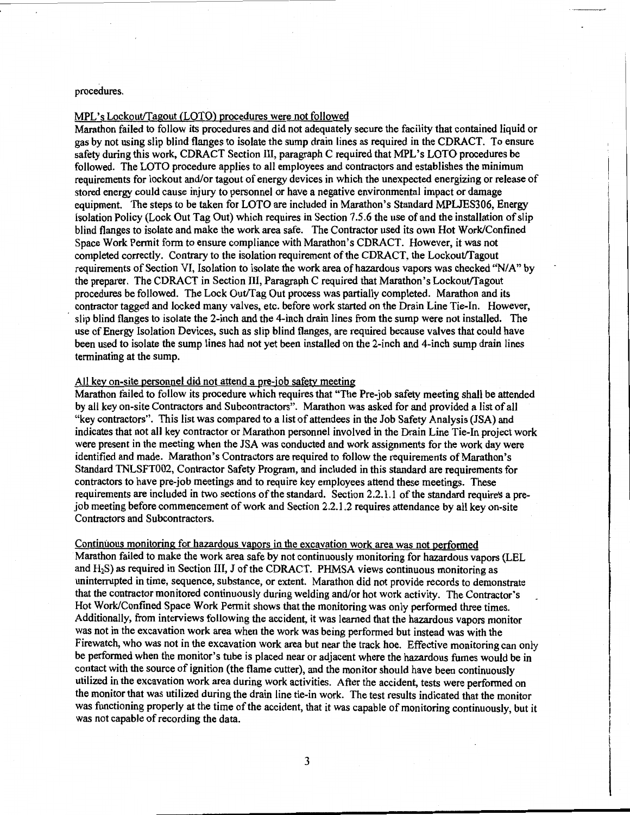#### procedures.

### MPL's Lockout/Tagout (LOTO) procedures were not followed

Marathon failed to follow its procedures and did not adequately secure the facility that contained liquid or gas by not using slip blind flanges to isolate the sump drain lines as required in the CDRACT. To ensure safety during this work, CDRACT Section III, paragraph C required that MPL's LOTO procedures be followed. The LOTO procedure applies to all employees and contractors and establishes the minimum requirements for lockout and/or tagout of energy devices in which the unexpected energizing or release of stored energy could cause injury to personnel or have a negative environmental impact or damage equipment. The steps to be taken for LOTO are included in Marathon's Standard MPLJES306, Energy Isolation Policy (Lock Out Tag Out) which requires in Section 7.5.6 the use of and the installation of slip blind flanges to isolate and make the work area safe. The Contractor used its own Hot Work/Confmed Space Work Permit form to ensure compliance with Marathon's CDRACT. However, it was not completed correctly. Contrary to the isolation requirement of the CDRACT, the Lockout/Tagout requirements of Section VI, Isolation to isolate the work area of hazardous vapors was checked "N/A" by the preparer. The CDRACT in Section III, Paragraph C required that Marathon's Lockout/Tagout procedures be followed. The Lock Out/Tag Out process was partially completed. Marathon and its contractor tagged and locked many valves, etc. before work started on the Drain Line Tie-In. However, slip blind flanges to isolate the 2-inch and the 4-inch drain lines from the sump were not installed. The use of Energy Isolation Devices, such as slip blind flanges, are required because valves that could have been used to isolate the sump lines had not yet been installed on the 2-inch and 4-inch sump drain lines terminating at the sump.

#### All key on-site personnel did not attend a pre-job safety meeting

Marathon failed to follow its procedure which requires that "The Pre-job safety meeting shall be attended by all key on-site Contractors and Subcontractors". Marathon was asked for and provided a list of all "key contractors". This list was compared to a list of attendees in the Job Safety Analysis (JSA) and indicates that not all key contractor or Marathon personnel involved in the Drain Line Tie-In project work were present in the meeting when the JSA was conducted and work assignments for the work day were identified and made. Marathon's Contractors are required to follow the requirements of Marathon's Standard TNLSFT002, Contractor Safety Program, and included in this standard are requirements for contractors to have pre-job meetings and to require key employees attend these meetings. These requirements are included in two sections of the standard. Section 2.2.1.1 of the standard requires a prejob meeting before commencement of work and Section 2.2.1.2 requires attendance by all key on-site Contractors and Subcontractors.

Continuous monitoring for hazardous vapors in the excavation work area was not performed Marathon failed to make the work area safe by not continuously monitoring for hazardous vapors (LEL and H2S) as required in Section III, J of the CDRACT. PHMSA views continuous monitoring as uninterrupted in time, sequence, substance, or extent. Marathon did not provide records to demonstrate that the contractor monitored continuously during welding and/or hot work activity. The Contractor's Hot Work/Confined Space Work Permit shows that the monitoring was only performed three times. Additionally, from interviews following the accident, it was learned that the hazardous vapors monitor was not in the excavation work area when the work was being performed but instead was with the Firewatch, who was not in the excavation work area but near the track hoe. Effective monitoring can only be performed when the monitor's tube is placed near or adjacent where the hazardous fumes would be in contact with the source of ignition (the flame cutter), and the monitor should have been continuously utilized in the excavation work area during work activities. After the accident, tests were performed on the monitor that was utilized during the drain line tie-in work. The test results indicated that the monitor was functioning properly at the time of the accident, that it was capable of monitoring continuously, but it was not capable of recording the data.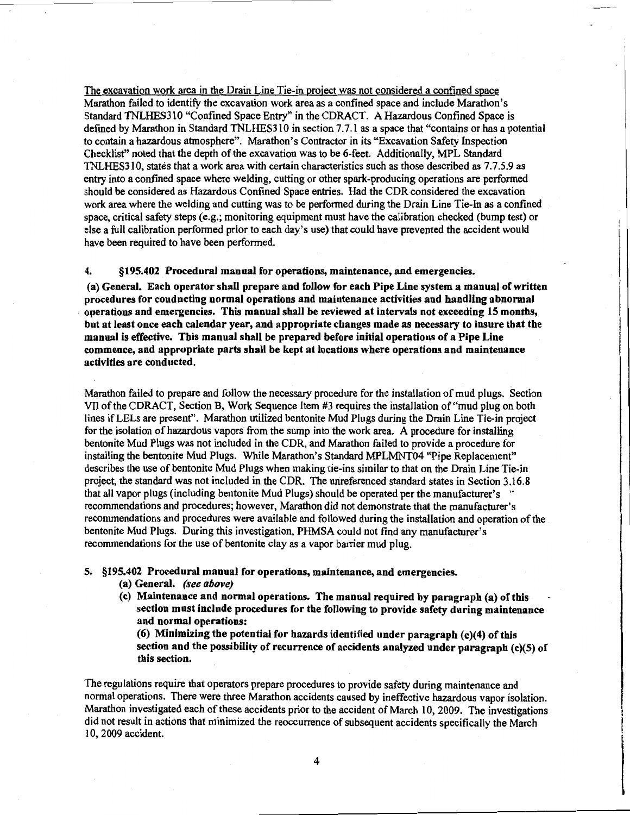The excavation work area in the Drain Line Tie-in project was not considered a confined space Marathon failed to identifY the excavation work area as a confined space and include Marathon's Standard TNLHES310 "Confined Space Entry" in the CDRACT. A Hazardous Confined Space is defmed by Marathon in Standard TNLHES31 0 in section 7. 7.1 as a space that "contains or has a potential to contain a hazardous atmosphere". Marathon's Contractor in its "Excavation Safety Inspection Checklist" noted that the depth of the excavation was to be 6-feet. Additionally, MPL Standard TNLHES310, states that a work area with certain characteristics such as those described as 7.7.5.9 as entry into a confined space where welding, cutting or other spark-producing operations are perfonned should be considered as Hazardous Confined Space entries. Had the CDR considered the excavation work area where the welding and cutting was to be perfonned during the Drain Line Tie-In as a confined space, critical safety steps (e.g.; monitoring equipment must have the calibration checked (bump test) or else a full calibration perfonned prior to each day's use) that could have prevented the accident would have been required to have been performed.

4. §195.402 Procedural manual for operations, maintenance, and emergencies.

(a) General. Each operator shall prepare and follow for each Pipe Line system a manual of written procedures for conducting normal operations and maintenance activities and handling abnormal . operations and emergencies. This manual shall be reviewed at intervals not exceeding 15 months, but at least once each calendar year, and appropriate changes made as necessary to insure that the manual is effective. This manual shall be prepared before initial operations of a Pipe Line commence, and appropriate parts shall be kept at locations where operations and maintenance activities are conducted.

Marathon failed to prepare and follow the necessary procedure for the installation of mud plugs. Section Vll ofthe CDRACT, Section B, Work Sequence Item #3 requires the installation of"mud plug on both lines ifLELs are present". Marathon utilized bentonite Mud Plugs during the Drain Line Tie-in project for the isolation of hazardous vapors from the sump into the work area. A procedure for installing bentonite Mud Plugs was not included in the CDR, and Marathon failed to provide a procedure for installing the bentonite Mud Plugs. While Marathon's Standard MPLMNT04 "Pipe Replacement" describes the use of bentonite Mud Plugs when making tie-ins similar to that on the Drain Line Tie-in project, the standard was not included in the CDR. The urireferenced standard states in Section 3.16.8 that all vapor plugs (including bentonite Mud Plugs) should be operated per the manufacturer's <sup>\*</sup> recommendations and procedures; however, Marathon did not demonstrate that the manufacturer's recommendations and procedures were available and followed during the installation and operation of the bentonite Mud Plugs. During this investigation, PHMSA could not find any manufacturer's recommendations for the use of bentonite clay as a vapor barrier mud plug.

5. §195.402 Procedural manual for operations, maintenance, and emergencies.

- (a) General. *(see above)*
- (c) Maintenance and normal operations. The manual required by paragraph (a) of this section must include procedures for the following to provide safety during maintenance and normal operations:

(6) Minimizing the potential for hazards identified under paragraph (c)(4) of this section and the possibility of recurrence of accidents analyzed under paragraph (c)(5) of this section.

The regulations require that operators prepare procedures to provide safety during maintenance and normal operations. There were three Marathon accidents caused by ineffective hazardous vapor isolation. Marathon investigated each of these accidents prior to the accident of March 10, 2009. The investigations did not result in actions that minimized the reoccurrence of subsequent accidents specifically the March I 0, 2009 accident.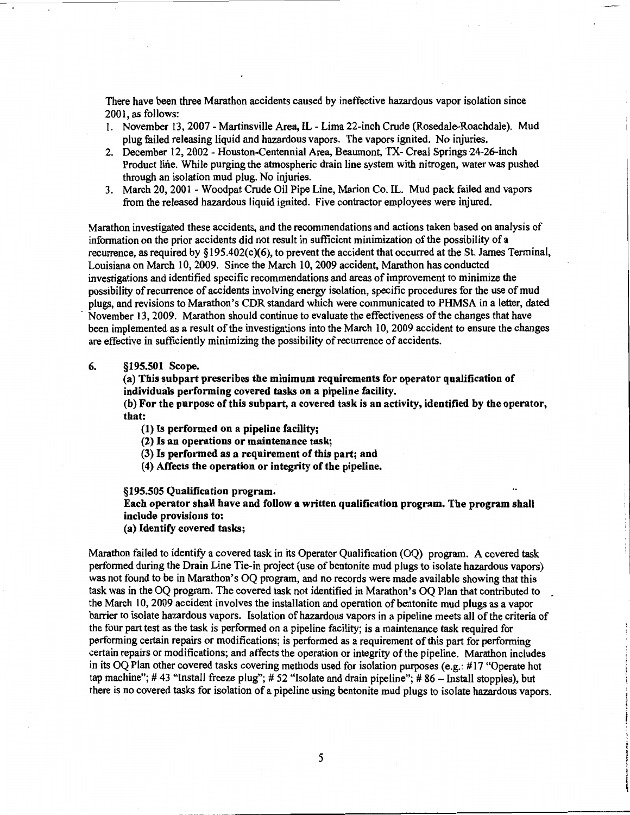There have been three Marathon accidents caused by ineffective hazardous vapor isolation since 2001, as follows:

- 1. November 13, 2007 Martinsville Area, IL Lima 22-inch Crude (Rosedale-Roachdale). Mud plug failed releasing liquid and hazardous vapors. The vapors ignited. No injuries.
- 2. December 12, 2002 Houston-Centennial Area, Beaumont, TX- Creal Springs 24-26-inch Product line. While purging the atmospheric drain line system with nitrogen, water was pushed through an isolation mud plug. No injuries.
- 3. March 20, 2001 Woodpat Crude Oil Pipe Line, Marion Co. IL. Mud pack failed and vapors from the released hazardous liquid ignited. Five contractor employees were injured.

Marathon investigated these accidents, and the recommendations and actions taken based on analysis of information on the prior accidents did not result in sufficient minimization of the possibility of a recurrence, as required by§ 19S.402(c)(6), to prevent the accident that occurred at the St. James Terminal, Louisiana on March 10, 2009. Since the March 10, 2009 accident, Marathon has conducted investigations and identified specific recommendations and areas of improvement to minimize the possibility of recurrence of accidents involving energy isolation, specific procedures for the use of mud plugs, and revisions to Marathon's CDR standard which were communicated to PHMSA in a letter, dated November 13, 2009. Marathon should continue to evaluate the effectiveness of the changes that have been implemented as a result of the investigations into the March 10,2009 accident to ensure the changes are effective in sufficiently minimizing the possibility of recurrence of accidents.

#### 6. §195.501 Scope.

(a) This subpart prescribes the minimum requirements for operator qualification of individuals performing covered tasks on a pipeline facility.

(b) For the purpose of this subpart, a covered task is an activity, identified by the operator, that:

- (1) Is performed on a pipeline facility;
- (2) Is an operations or maintenance task;
- (3) Is performed as a requirement of this part; and
- ( 4) Affects the operation or integrity of the pipeline.

§195.505 Qualification program.

Each operator shall have and follow a written qualification program. The program shall include provisions to:

(a) Identify covered tasks;

Marathon failed to identify a covered task in its Operator Qualification (OQ) program. A covered task performed during the Drain Line Tie-in project (use of bentonite mud plugs to isolate hazardous vapors) was not found to be in Marathon's OQ program, and no records were made available showing that this task was in the OQ program. The covered task not identified in Marathon's OQ Plan that contributed to \_ the March 10,2009 accident involves the installation and operation of bentonite mud plugs as a vapor barrier to isolate hazardous vapors. Isolation of hazardous vapors in a pipeline meets all of the criteria of the four part test as the task is performed on a pipeline facility; is a maintenance task required for performing certain repairs or modifications; is performed as a requirement of this part for performing certain repairs or modifications; and affects the operation or integrity of the pipeline. Marathon includes in its OQ Plan other covered tasks covering methods used for isolation purposes (e.g.: #17 "Operate hot tap machine"; #43 "Install freeze plug"; #52 "Isolate and drain pipeline"; #86 - Install stopples), but there is no covered tasks for isolation of a pipeline using bentonite mud plugs to isolate hazardous vapors.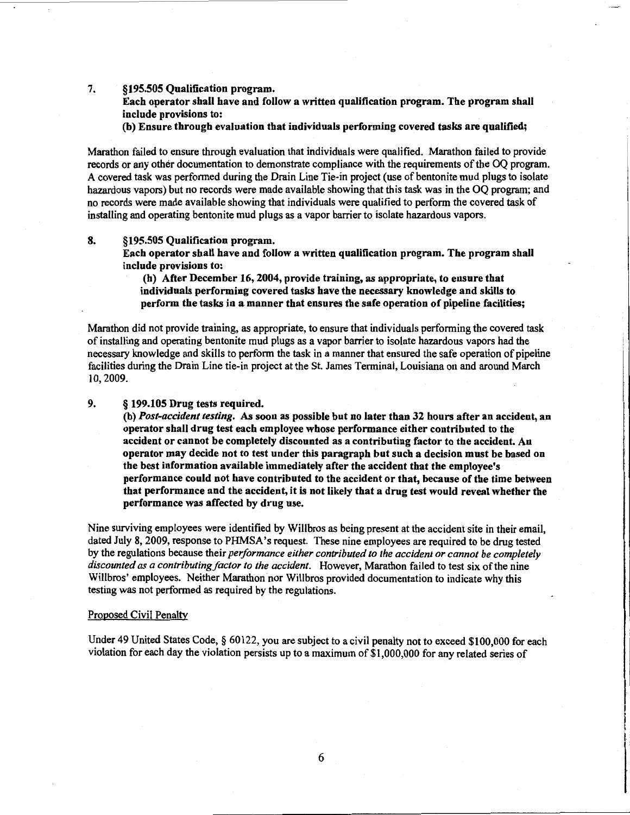#### 7. §195.505 Qualification program.

Each operator shall have and follow a written qualification program. The program shall include provisions to:

(b) Ensure through evaluation that individuals performing covered tasks are qualified;

Marathon failed to ensure through evaluation that individuals were qualified. Marathon failed to provide records or any other documentation to demonstrate compliance with the requirements of the OQ program. A covered task was performed during the Drain Line Tie-in project (use of bentonite mud plugs to isolate hazardous vapors) but no records were made available showing that this task was in the OQ program; and no records were made available showing that individuals were qualified to perform the covered task of installing and operating bentonite mud plugs as a vapor barrier to isolate hazardous vapors.

### 8. §195.505 Qualification program.

Each operator shall have and follow a written qualification program. The program shall include provisions to:

(h) After December 16, 2004, provide training, as appropriate, to ensure that individuals performing covered tasks have the necessary knowledge and skills to perform the tasks in a manner that ensures the safe operation of pipeline facilities;

Marathon did not provide training, as appropriate, to ensure that individuals performing the covered task of installing and operating bentonite mud plugs as a vapor barrier to isolate hazardous vapors had the necessary knowledge and skills to perform the task in a manner that ensured the safe operation of pipeline facilities during the Drain Line tie-in project at the St. James Terminal, Louisiana on and around March 10,2009.

#### 9. § 199.105 Drug tests required.

(b) *Post-accident testing.* As soon as possible but no later than 32 hours after an accident, an operator shall drug test each employee whose performance either contributed to the accident or cannot be completely discounted as a contributing factor to the accident. An operator may decide not to test under this paragraph but such a decision must be based on the best information available immediately after the accident that the employee's performance could not have contributed to the accident or that, because of the time between that performance and the accident, it is not likely that a drug test would reveal whether the performance was affected by drug use.

Nine surviving employees were identified by Willbros as being present at the accident site in their email, dated July 8, 2009, response to PHMSA's request. These nine employees are required to be drug tested by the regulations because their *peiformance either contributed to the accident or cannot be completely*  discounted as a contributing factor to the accident. However, Marathon failed to test six of the nine Willbros' employees. Neither Marathon nor Willbros provided documentation to indicate why this testing was not performed as required by the regulations.

#### Proposed Civil Penalty

Under 49 United States Code, § 60122, you are subject to a civil penalty not to exceed \$100,000 for each violation for each day the violation persists up to a maximum of \$1,000,000 for any related series of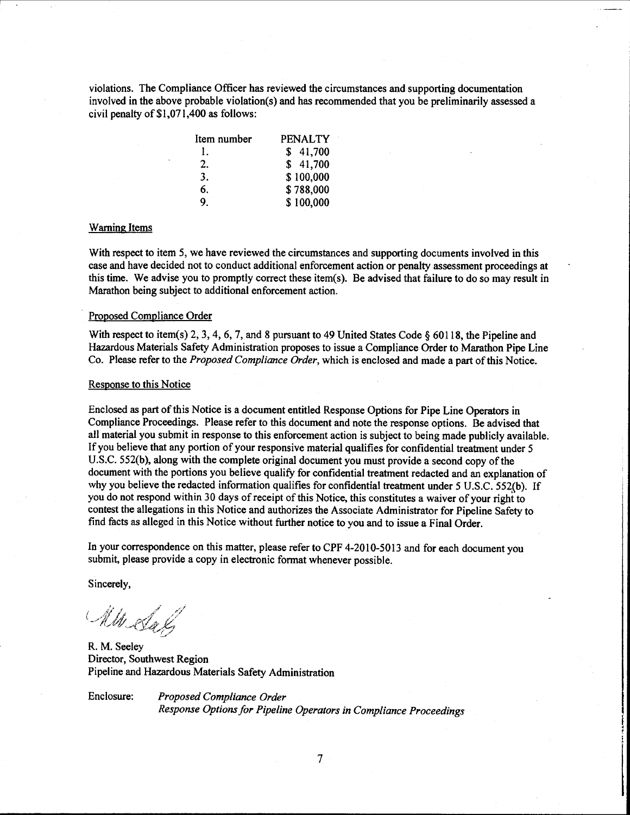violations. The Compliance Officer has reviewed the circumstances and supporting documentation involved in the above probable violation(s) and has recommended that you be preliminarily assessed a civil penalty of\$1,071,400 as follows:

| Item number    | <b>PENALTY</b> |
|----------------|----------------|
|                | \$41,700       |
| 2.             | \$41,700       |
| 3.             | \$100,000      |
| 6.             | \$788,000      |
| 9 <sub>1</sub> | \$100,000      |

#### Warning Items

With respect to item 5, we have reviewed the circumstances and supporting documents involved in this case and have decided not to conduct additional enforcement action or penalty assessment proceedings at this time. We advise you to promptly correct these item(s). Be advised that failure to do so may result in Marathon being subject to additional enforcement action.

#### Proposed Compliance Order

With respect to item(s) 2, 3, 4, 6, 7, and 8 pursuant to 49 United States Code § 60118, the Pipeline and Hazardous Materials Safety Administration proposes to issue a Compliance Order to Marathon Pipe Line Co. Please refer to the *Proposed Compliance Order,* which is enclosed and made a part of this Notice.

#### Response to this Notice

Enclosed as part of this Notice is a document entitled Response Options for Pipe Line Operators in Compliance Proceedings. Please refer to this document and note the response options. Be advised that all material you submit in response to this enforcement action is subject to being made publicly available. If you believe that any portion of your responsive material qualifies for confidential treatment under 5 U.S.C. 552(b), along with the complete original document you must provide a second copy of the document with the portions you believe qualify for confidential treatment redacted and an explanation of why you believe the redacted information qualifies for confidential treatment under 5 U.S.C. 552(b). If you do not respond within 30 days of receipt of this Notice, this constitutes a waiver of your right to contest the allegations in this Notice and authorizes the Associate Administrator for Pipeline Safety to find facts as alleged in this Notice without further notice to you and to issue a Final Order.

In your correspondence on this matter, please refer to CPF 4-2010-5013 and for each document you submit, please provide a copy in electronic format whenever possible.

Sincerely,

Mill Salz

R. M. Seeley Director, Southwest Region Pipeline and Hazardous Materials Safety Administration

Enclosure: *Proposed Compliance Order Response Options for Pipeline Operators in Compliance Proceedings*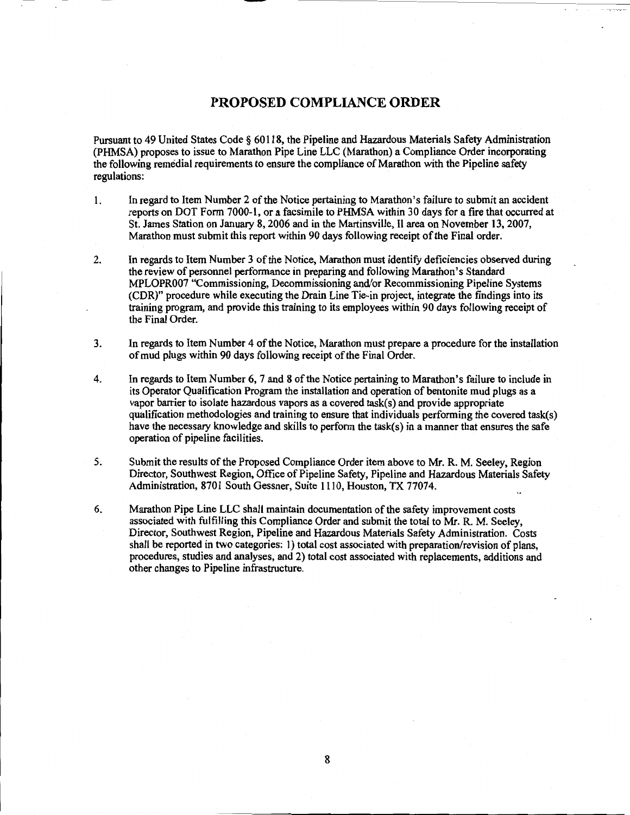# **PROPOSED COMPLIANCE ORDER**

Pursuant to 49 United States Code § 60118, the Pipeline and Hazardous Materials Safety Administration (PHMSA) proposes to issue to Marathon Pipe Line LLC (Marathon) a Compliance Order incorporating the following remedial requirements to ensure the compliance of Marathon with the Pipeline safety regulations:

- 1. In regard to Item Number 2 of the Notice pertaining to Marathon's failure to submit an accident reports on DOT Form 7000-1, or a facsimile to PHMSA within 30 days for a fire that occurred at St. James Station on January 8, 2006 and in the Martinsville, II area on November 13,2007, Marathon must submit this report within 90 days following receipt of the Final order.
- 2. In regards to Item Number 3 of the Notice, Marathon must identify deficiencies observed during the review of personnel performance in preparing and following Marathon's Standard MPLOPR007 "Commissioning, Decommissioning and/or Recommissioning Pipeline Systems (CDR)" procedure while executing the Drain Line Tie-in project, integrate the findings into its training program, and provide this training to its employees within 90 days following receipt of the Final Order.
- 3. In regards to Item Number 4 of the Notice, Marathon must prepare a procedure for the installation of mud plugs within 90 days following receipt of the Final Order.
- 4. In regards to Item Number 6, 7 and 8 of the Notice pertaining to Marathon's failure to include in its Operator Qualification Program the installation and operation of bentonite mud plugs as a vapor barrier to isolate hazardous vapors as a covered task(s) and provide appropriate qualification methodologies and training to ensure that individuals performing the covered task(s) have the necessary knowledge and skills to perform the task(s) in a manner that ensures the safe operation of pipeline facilities.
- 5. Submit the results of the Proposed Compliance Order item above to Mr. R. M. Seeley, Region Director, Southwest Region, Office of Pipeline Safety, Pipeline and Hazardous Materials Safety Administration, 8701 South Gessner, Suite 1110, Houston, TX 77074.
- 6. Marathon Pipe Line LLC shall maintain documentation of the safety improvement costs associated with fulfilling this Compliance Order and submit the total to Mr. R. M. Seeley, Director, Southwest Region, Pipeline and Hazardous Materials Safety Administration. Costs shall be reported in two categories: 1) total cost associated with preparation/revision of plans, procedures, studies and analyses, and 2) total cost associated with replacements, additions and other changes to Pipeline infrastructure.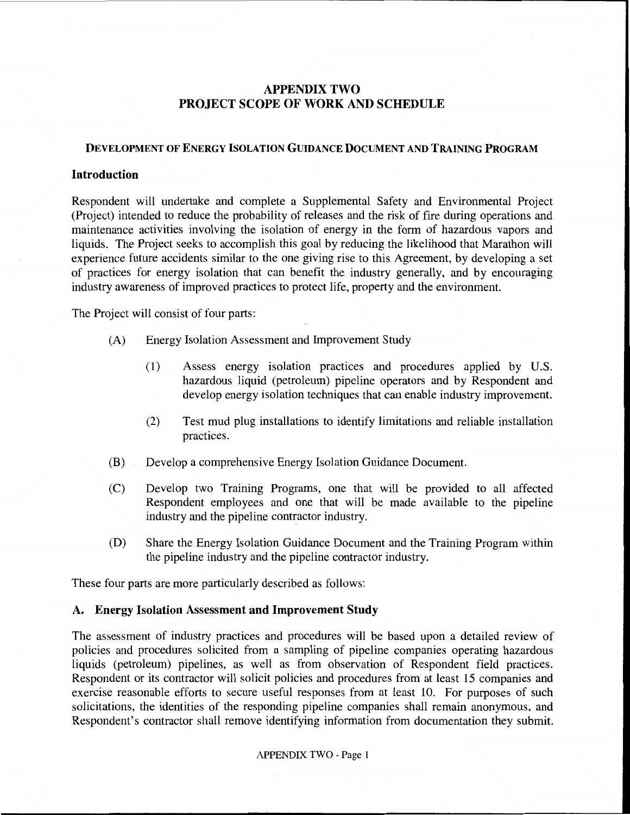# APPENDIX TWO PROJECT SCOPE OF WORK AND SCHEDULE

## DEVELOPMENT OF ENERGY ISOLATION GUIDANCE DOCUMENT AND TRAINING PROGRAM

### Introduction

Respondent will undertake and complete a Supplemental Safety and Environmental Project (Project) intended to reduce the probability of releases and the risk of fire during operations and maintenance activities involving the isolation of energy in the form of hazardous vapors and liquids. The Project seeks to accomplish this goal by reducing the likelihood that Marathon will experience future accidents similar to the one giving rise to this Agreement, by developing a set of practices for energy isolation that can benefit the industry generally, and by encouraging industry awareness of improved practices to protect life, property and the environment.

The Project will consist of four parts:

- (A) Energy Isolation Assessment and Improvement Study
	- (1) Assess energy isolation practices and procedures applied by U.S. hazardous liquid (petroleum) pipeline operators and by Respondent and develop energy isolation techniques that can enable industry improvement.
	- (2) Test mud plug installations to identify limitations and reliable installation practices.
- (B) Develop a comprehensive Energy Isolation Guidance Document.
- (C) Develop two Training Programs, one that will be provided to all affected Respondent employees and one that will be made available to the pipeline industry and the pipeline contractor industry.
- (D) Share the Energy Isolation Guidance Document and the Training Program within the pipeline industry and the pipeline contractor industry.

These four parts are more particularly described as follows:

## A. Energy Isolation Assessment and Improvement Study

The assessment of industry practices and procedures will be based upon a detailed review of policies and procedures solicited from a sampling of pipeline companies operating hazardous liquids (petroleum) pipelines, as well as from observation of Respondent field practices. Respondent or its contractor will solicit policies and procedures from at least 15 companies and exercise reasonable efforts to secure useful responses from at least 10. For purposes of such solicitations, the identities of the responding pipeline companies shall remain anonymous, and Respondent's contractor shall remove identifying information from documentation they submit.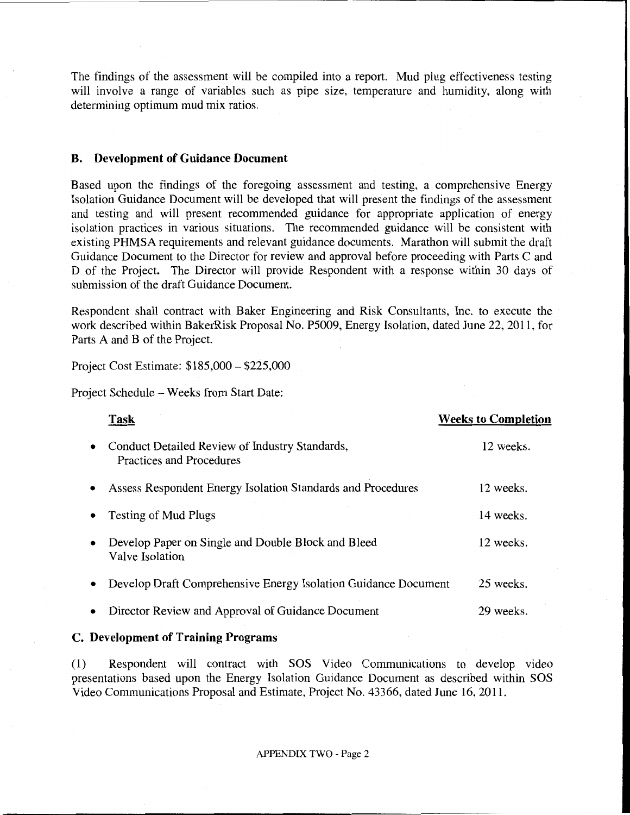The findings of the assessment will be compiled into a report. Mud plug effectiveness testing will involve a range of variables such as pipe size, temperature and humidity, along with determining optimum mud mix ratios.

### **B. Development of Guidance Document**

Based upon the findings of the foregoing assessment and testing, a comprehensive Energy Isolation Guidance Document will be developed that will present the findings of the assessment and testing and will present recommended guidance for appropriate application of energy isolation practices in various situations. The recommended guidance will be consistent with existing PHMSA requirements and relevant guidance documents. Marathon will submit the draft Guidance Document to the Director for review and approval before proceeding with Parts C and D of the Project. The Director will provide Respondent with a response within 30 days of submission of the draft Guidance Document.

Respondent shall contract with Baker Engineering and Risk Consultants, Inc. to execute the work described within BakerRisk Proposal No. P5009, Energy Isolation, dated June 22, 2011, for Parts A and B of the Project.

Project Cost Estimate: \$185,000-\$225,000

Project Schedule - Weeks from Start Date:

|           | Task                                                                       | <b>Weeks to Completion</b> |
|-----------|----------------------------------------------------------------------------|----------------------------|
| $\bullet$ | Conduct Detailed Review of Industry Standards,<br>Practices and Procedures | 12 weeks.                  |
|           | Assess Respondent Energy Isolation Standards and Procedures                | 12 weeks.                  |
|           | <b>Testing of Mud Plugs</b>                                                | 14 weeks.                  |
|           | Develop Paper on Single and Double Block and Bleed<br>Valve Isolation      | 12 weeks.                  |
|           | Develop Draft Comprehensive Energy Isolation Guidance Document             | 25 weeks.                  |
|           | Director Review and Approval of Guidance Document                          | 29 weeks.                  |

# **C. Development of Training Programs**

(1) Respondent will contract with SOS Video Communications to develop video presentations based upon the Energy Isolation Guidance Document as described within SOS Video Communications Proposal and Estimate, Project No. 43366, dated June 16, 2011.